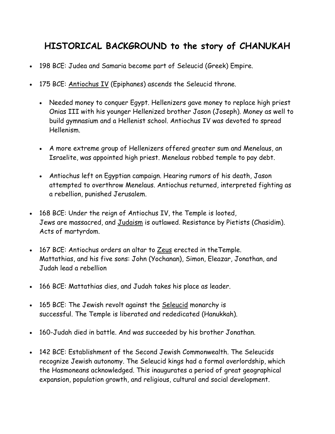## **HISTORICAL BACKGROUND to the story of CHANUKAH**

- 198 BCE: Judea and Samaria become part of Seleucid (Greek) Empire.
- 175 BCE: [Antiochus IV](http://www.reference.com/browse/wiki/Antiochus_IV) (Epiphanes) ascends the Seleucid throne.
	- Needed money to conquer Egypt. Hellenizers gave money to replace high priest Onias III with his younger Hellenized brother Jason (Joseph). Money as well to build gymnasium and a Hellenist school. Antiochus IV was devoted to spread Hellenism.
	- A more extreme group of Hellenizers offered greater sum and Menelaus, an Israelite, was appointed high priest. Menelaus robbed temple to pay debt.
	- Antiochus left on Egyptian campaign. Hearing rumors of his death, Jason attempted to overthrow Menelaus. Antiochus returned, interpreted fighting as a rebellion, punished Jerusalem.
- 168 BCE: Under the reign of Antiochus IV, the Temple is looted, Jews are massacred, and [Judaism](http://www.reference.com/browse/wiki/Judaism) is outlawed. Resistance by Pietists (Chasidim). Acts of martyrdom.
- 167 BCE: Antiochus orders an altar to [Zeus](http://www.reference.com/browse/wiki/Zeus) erected in theTemple. Mattathias, and his five sons: John (Yochanan), Simon, Eleazar, Jonathan, and Judah lead a rebellion
- 166 BCE: Mattathias dies, and Judah takes his place as leader.
- 165 BCE: The Jewish revolt against the [Seleucid](http://www.reference.com/browse/wiki/Seleucid) monarchy is successful. The Temple is liberated and rededicated (Hanukkah).
- 160-Judah died in battle. And was succeeded by his brother Jonathan.
- 142 BCE: Establishment of the Second Jewish Commonwealth. The Seleucids recognize Jewish autonomy. The Seleucid kings had a formal overlordship, which the Hasmoneans acknowledged. This inaugurates a period of great geographical expansion, population growth, and religious, cultural and social development.